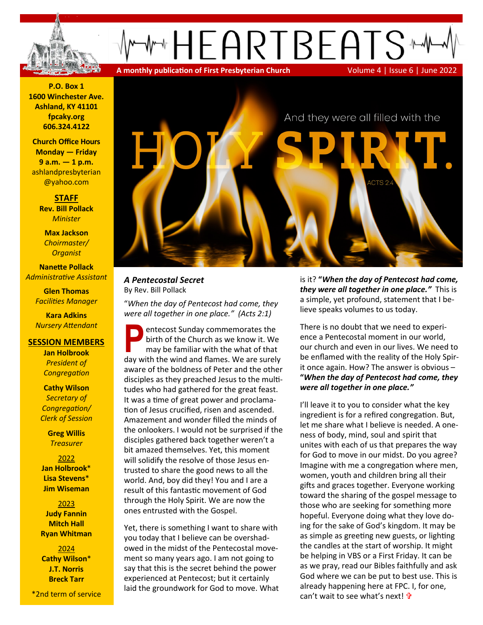

**P.O. Box 1 1600 Winchester Ave. Ashland, KY 41101 fpcaky.org 606.324.4122**

**Church Office Hours Monday — Friday 9 a.m. — 1 p.m.** [ashlandpresbyterian](mailto:ashlandpresbyterian@yahoo.com) [@yahoo.com](mailto:ashlandpresbyterian@yahoo.com)

> **STAFF Rev. Bill Pollack** *Minister*

**Max Jackson** *Choirmaster/ Organist*

**Nanette Pollack** *Administrative Assistant*

> **Glen Thomas** *Facilities Manager*

> **Kara Adkins** *Nursery Attendant*

### **SESSION MEMBERS**

**Jan Holbrook**  *President of Congregation*

**Cathy Wilson** *Secretary of Congregation/ Clerk of Session*

> **Greg Willis** *Treasurer*

2022 **Jan Holbrook**\* **Lisa Stevens**\* **Jim Wiseman**

2023 **Judy Fannin Mitch Hall Ryan Whitman**

2024 **Cathy Wilson**\* **J.T. Norris Breck Tarr**

\*2nd term of service



# *A Pentecostal Secret* By Rev. Bill Pollack

"*When the day of Pentecost had come, they were all together in one place." (Acts 2:1)*

**P** entecost Sunday commemorates the birth of the Church as we know it. We may be familiar with the what of that day with the wind and flames. We are surely entecost Sunday commemorates the birth of the Church as we know it. We may be familiar with the what of that aware of the boldness of Peter and the other disciples as they preached Jesus to the multitudes who had gathered for the great feast. It was a time of great power and proclamation of Jesus crucified, risen and ascended. Amazement and wonder filled the minds of the onlookers. I would not be surprised if the disciples gathered back together weren't a bit amazed themselves. Yet, this moment will solidify the resolve of those Jesus entrusted to share the good news to all the world. And, boy did they! You and I are a result of this fantastic movement of God through the Holy Spirit. We are now the ones entrusted with the Gospel.

Yet, there is something I want to share with you today that I believe can be overshadowed in the midst of the Pentecostal movement so many years ago. I am not going to say that this is the secret behind the power experienced at Pentecost; but it certainly laid the groundwork for God to move. What is it? **"***When the day of Pentecost had come, they were all together in one place."* This is a simple, yet profound, statement that I believe speaks volumes to us today.

There is no doubt that we need to experience a Pentecostal moment in our world, our church and even in our lives. We need to be enflamed with the reality of the Holy Spirit once again. How? The answer is obvious – **"***When the day of Pentecost had come, they were all together in one place."* 

I'll leave it to you to consider what the key ingredient is for a refired congregation. But, let me share what I believe is needed. A oneness of body, mind, soul and spirit that unites with each of us that prepares the way for God to move in our midst. Do you agree? Imagine with me a congregation where men, women, youth and children bring all their gifts and graces together. Everyone working toward the sharing of the gospel message to those who are seeking for something more hopeful. Everyone doing what they love doing for the sake of God's kingdom. It may be as simple as greeting new guests, or lighting the candles at the start of worship. It might be helping in VBS or a First Friday. It can be as we pray, read our Bibles faithfully and ask God where we can be put to best use. This is already happening here at FPC. I, for one, can't wait to see what's next!